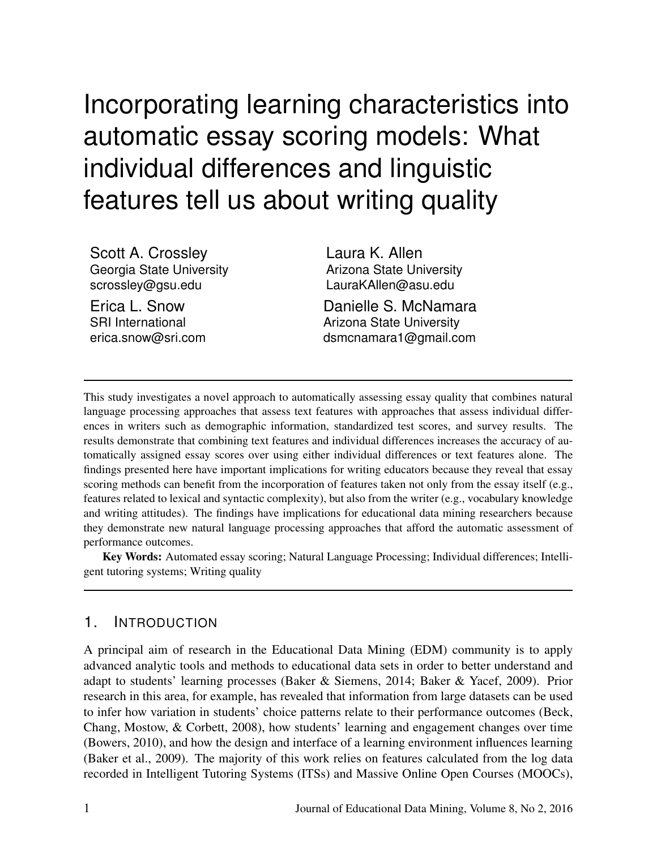# Incorporating learning characteristics into automatic essay scoring models: What individual differences and linguistic features tell us about writing quality

Scott A. Crossley Georgia State University scrossley@gsu.edu

Erica L. Snow SRI International erica.snow@sri.com Laura K. Allen Arizona State University LauraKAllen@asu.edu

Danielle S. McNamara Arizona State University dsmcnamara1@gmail.com

This study investigates a novel approach to automatically assessing essay quality that combines natural language processing approaches that assess text features with approaches that assess individual differences in writers such as demographic information, standardized test scores, and survey results. The results demonstrate that combining text features and individual differences increases the accuracy of automatically assigned essay scores over using either individual differences or text features alone. The findings presented here have important implications for writing educators because they reveal that essay scoring methods can benefit from the incorporation of features taken not only from the essay itself (e.g., features related to lexical and syntactic complexity), but also from the writer (e.g., vocabulary knowledge and writing attitudes). The findings have implications for educational data mining researchers because they demonstrate new natural language processing approaches that afford the automatic assessment of performance outcomes.

Key Words: Automated essay scoring; Natural Language Processing; Individual differences; Intelligent tutoring systems; Writing quality

## 1. INTRODUCTION

A principal aim of research in the Educational Data Mining (EDM) community is to apply advanced analytic tools and methods to educational data sets in order to better understand and adapt to students' learning processes (Baker & Siemens, 2014; Baker & Yacef, 2009). Prior research in this area, for example, has revealed that information from large datasets can be used to infer how variation in students' choice patterns relate to their performance outcomes (Beck, Chang, Mostow, & Corbett, 2008), how students' learning and engagement changes over time (Bowers, 2010), and how the design and interface of a learning environment influences learning (Baker et al., 2009). The majority of this work relies on features calculated from the log data recorded in Intelligent Tutoring Systems (ITSs) and Massive Online Open Courses (MOOCs),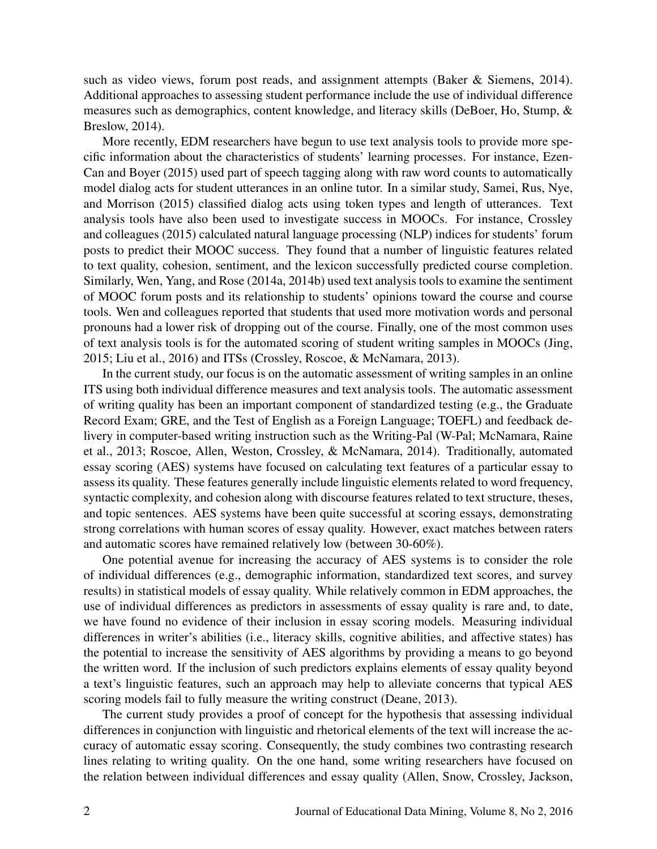such as video views, forum post reads, and assignment attempts (Baker & Siemens, 2014). Additional approaches to assessing student performance include the use of individual difference measures such as demographics, content knowledge, and literacy skills (DeBoer, Ho, Stump, & Breslow, 2014).

More recently, EDM researchers have begun to use text analysis tools to provide more specific information about the characteristics of students' learning processes. For instance, Ezen-Can and Boyer (2015) used part of speech tagging along with raw word counts to automatically model dialog acts for student utterances in an online tutor. In a similar study, Samei, Rus, Nye, and Morrison (2015) classified dialog acts using token types and length of utterances. Text analysis tools have also been used to investigate success in MOOCs. For instance, Crossley and colleagues (2015) calculated natural language processing (NLP) indices for students' forum posts to predict their MOOC success. They found that a number of linguistic features related to text quality, cohesion, sentiment, and the lexicon successfully predicted course completion. Similarly, Wen, Yang, and Rose (2014a, 2014b) used text analysis tools to examine the sentiment of MOOC forum posts and its relationship to students' opinions toward the course and course tools. Wen and colleagues reported that students that used more motivation words and personal pronouns had a lower risk of dropping out of the course. Finally, one of the most common uses of text analysis tools is for the automated scoring of student writing samples in MOOCs (Jing, 2015; Liu et al., 2016) and ITSs (Crossley, Roscoe, & McNamara, 2013).

In the current study, our focus is on the automatic assessment of writing samples in an online ITS using both individual difference measures and text analysis tools. The automatic assessment of writing quality has been an important component of standardized testing (e.g., the Graduate Record Exam; GRE, and the Test of English as a Foreign Language; TOEFL) and feedback delivery in computer-based writing instruction such as the Writing-Pal (W-Pal; McNamara, Raine et al., 2013; Roscoe, Allen, Weston, Crossley, & McNamara, 2014). Traditionally, automated essay scoring (AES) systems have focused on calculating text features of a particular essay to assess its quality. These features generally include linguistic elements related to word frequency, syntactic complexity, and cohesion along with discourse features related to text structure, theses, and topic sentences. AES systems have been quite successful at scoring essays, demonstrating strong correlations with human scores of essay quality. However, exact matches between raters and automatic scores have remained relatively low (between 30-60%).

One potential avenue for increasing the accuracy of AES systems is to consider the role of individual differences (e.g., demographic information, standardized text scores, and survey results) in statistical models of essay quality. While relatively common in EDM approaches, the use of individual differences as predictors in assessments of essay quality is rare and, to date, we have found no evidence of their inclusion in essay scoring models. Measuring individual differences in writer's abilities (i.e., literacy skills, cognitive abilities, and affective states) has the potential to increase the sensitivity of AES algorithms by providing a means to go beyond the written word. If the inclusion of such predictors explains elements of essay quality beyond a text's linguistic features, such an approach may help to alleviate concerns that typical AES scoring models fail to fully measure the writing construct (Deane, 2013).

The current study provides a proof of concept for the hypothesis that assessing individual differences in conjunction with linguistic and rhetorical elements of the text will increase the accuracy of automatic essay scoring. Consequently, the study combines two contrasting research lines relating to writing quality. On the one hand, some writing researchers have focused on the relation between individual differences and essay quality (Allen, Snow, Crossley, Jackson,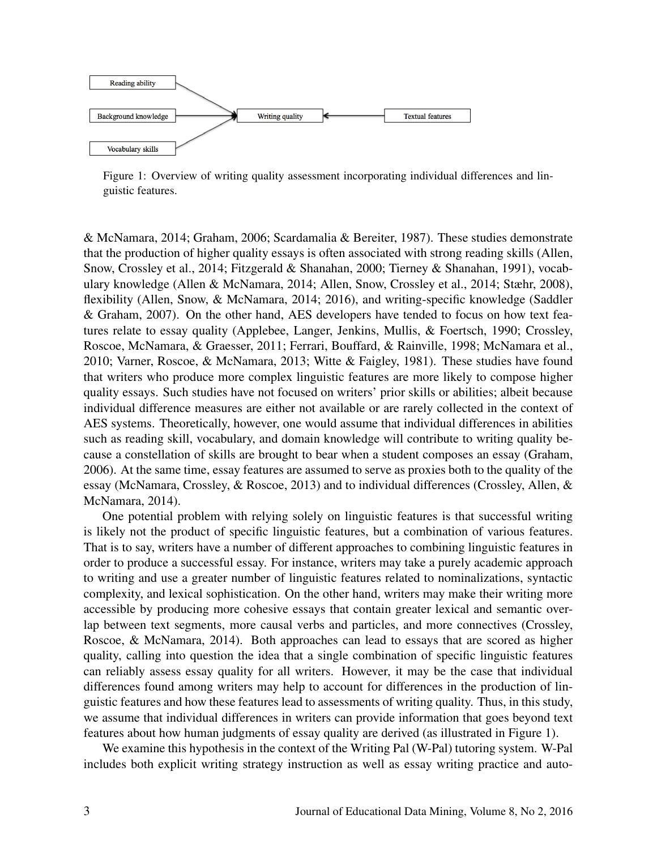

Figure 1: Overview of writing quality assessment incorporating individual differences and linguistic features.

& McNamara, 2014; Graham, 2006; Scardamalia & Bereiter, 1987). These studies demonstrate that the production of higher quality essays is often associated with strong reading skills (Allen, Snow, Crossley et al., 2014; Fitzgerald & Shanahan, 2000; Tierney & Shanahan, 1991), vocabulary knowledge (Allen & McNamara, 2014; Allen, Snow, Crossley et al., 2014; Stæhr, 2008), flexibility (Allen, Snow, & McNamara, 2014; 2016), and writing-specific knowledge (Saddler & Graham, 2007). On the other hand, AES developers have tended to focus on how text features relate to essay quality (Applebee, Langer, Jenkins, Mullis, & Foertsch, 1990; Crossley, Roscoe, McNamara, & Graesser, 2011; Ferrari, Bouffard, & Rainville, 1998; McNamara et al., 2010; Varner, Roscoe, & McNamara, 2013; Witte & Faigley, 1981). These studies have found that writers who produce more complex linguistic features are more likely to compose higher quality essays. Such studies have not focused on writers' prior skills or abilities; albeit because individual difference measures are either not available or are rarely collected in the context of AES systems. Theoretically, however, one would assume that individual differences in abilities such as reading skill, vocabulary, and domain knowledge will contribute to writing quality because a constellation of skills are brought to bear when a student composes an essay (Graham, 2006). At the same time, essay features are assumed to serve as proxies both to the quality of the essay (McNamara, Crossley, & Roscoe, 2013) and to individual differences (Crossley, Allen, & McNamara, 2014).

One potential problem with relying solely on linguistic features is that successful writing is likely not the product of specific linguistic features, but a combination of various features. That is to say, writers have a number of different approaches to combining linguistic features in order to produce a successful essay. For instance, writers may take a purely academic approach to writing and use a greater number of linguistic features related to nominalizations, syntactic complexity, and lexical sophistication. On the other hand, writers may make their writing more accessible by producing more cohesive essays that contain greater lexical and semantic overlap between text segments, more causal verbs and particles, and more connectives (Crossley, Roscoe, & McNamara, 2014). Both approaches can lead to essays that are scored as higher quality, calling into question the idea that a single combination of specific linguistic features can reliably assess essay quality for all writers. However, it may be the case that individual differences found among writers may help to account for differences in the production of linguistic features and how these features lead to assessments of writing quality. Thus, in this study, we assume that individual differences in writers can provide information that goes beyond text features about how human judgments of essay quality are derived (as illustrated in Figure 1).

We examine this hypothesis in the context of the Writing Pal (W-Pal) tutoring system. W-Pal includes both explicit writing strategy instruction as well as essay writing practice and auto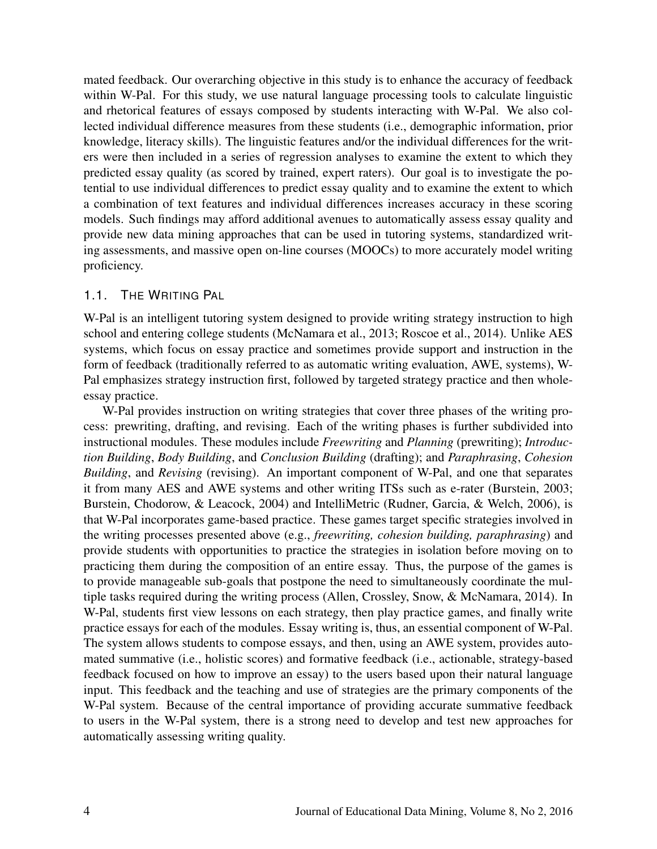mated feedback. Our overarching objective in this study is to enhance the accuracy of feedback within W-Pal. For this study, we use natural language processing tools to calculate linguistic and rhetorical features of essays composed by students interacting with W-Pal. We also collected individual difference measures from these students (i.e., demographic information, prior knowledge, literacy skills). The linguistic features and/or the individual differences for the writers were then included in a series of regression analyses to examine the extent to which they predicted essay quality (as scored by trained, expert raters). Our goal is to investigate the potential to use individual differences to predict essay quality and to examine the extent to which a combination of text features and individual differences increases accuracy in these scoring models. Such findings may afford additional avenues to automatically assess essay quality and provide new data mining approaches that can be used in tutoring systems, standardized writing assessments, and massive open on-line courses (MOOCs) to more accurately model writing proficiency.

#### 1.1. THE WRITING PAL

W-Pal is an intelligent tutoring system designed to provide writing strategy instruction to high school and entering college students (McNamara et al., 2013; Roscoe et al., 2014). Unlike AES systems, which focus on essay practice and sometimes provide support and instruction in the form of feedback (traditionally referred to as automatic writing evaluation, AWE, systems), W-Pal emphasizes strategy instruction first, followed by targeted strategy practice and then wholeessay practice.

W-Pal provides instruction on writing strategies that cover three phases of the writing process: prewriting, drafting, and revising. Each of the writing phases is further subdivided into instructional modules. These modules include *Freewriting* and *Planning* (prewriting); *Introduction Building*, *Body Building*, and *Conclusion Building* (drafting); and *Paraphrasing*, *Cohesion Building*, and *Revising* (revising). An important component of W-Pal, and one that separates it from many AES and AWE systems and other writing ITSs such as e-rater (Burstein, 2003; Burstein, Chodorow, & Leacock, 2004) and IntelliMetric (Rudner, Garcia, & Welch, 2006), is that W-Pal incorporates game-based practice. These games target specific strategies involved in the writing processes presented above (e.g., *freewriting, cohesion building, paraphrasing*) and provide students with opportunities to practice the strategies in isolation before moving on to practicing them during the composition of an entire essay. Thus, the purpose of the games is to provide manageable sub-goals that postpone the need to simultaneously coordinate the multiple tasks required during the writing process (Allen, Crossley, Snow, & McNamara, 2014). In W-Pal, students first view lessons on each strategy, then play practice games, and finally write practice essays for each of the modules. Essay writing is, thus, an essential component of W-Pal. The system allows students to compose essays, and then, using an AWE system, provides automated summative (i.e., holistic scores) and formative feedback (i.e., actionable, strategy-based feedback focused on how to improve an essay) to the users based upon their natural language input. This feedback and the teaching and use of strategies are the primary components of the W-Pal system. Because of the central importance of providing accurate summative feedback to users in the W-Pal system, there is a strong need to develop and test new approaches for automatically assessing writing quality.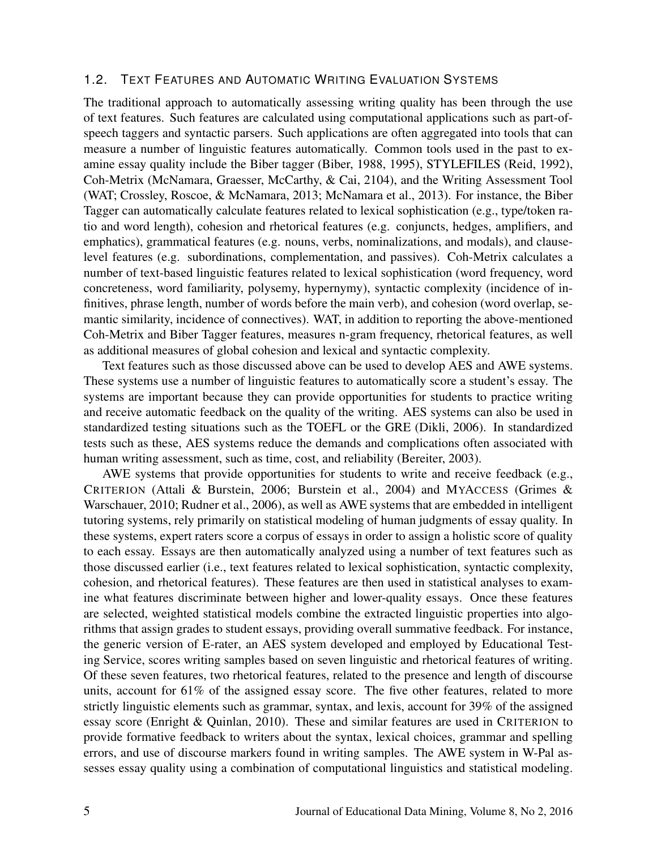#### 1.2. TEXT FEATURES AND AUTOMATIC WRITING EVALUATION SYSTEMS

The traditional approach to automatically assessing writing quality has been through the use of text features. Such features are calculated using computational applications such as part-ofspeech taggers and syntactic parsers. Such applications are often aggregated into tools that can measure a number of linguistic features automatically. Common tools used in the past to examine essay quality include the Biber tagger (Biber, 1988, 1995), STYLEFILES (Reid, 1992), Coh-Metrix (McNamara, Graesser, McCarthy, & Cai, 2104), and the Writing Assessment Tool (WAT; Crossley, Roscoe, & McNamara, 2013; McNamara et al., 2013). For instance, the Biber Tagger can automatically calculate features related to lexical sophistication (e.g., type/token ratio and word length), cohesion and rhetorical features (e.g. conjuncts, hedges, amplifiers, and emphatics), grammatical features (e.g. nouns, verbs, nominalizations, and modals), and clauselevel features (e.g. subordinations, complementation, and passives). Coh-Metrix calculates a number of text-based linguistic features related to lexical sophistication (word frequency, word concreteness, word familiarity, polysemy, hypernymy), syntactic complexity (incidence of infinitives, phrase length, number of words before the main verb), and cohesion (word overlap, semantic similarity, incidence of connectives). WAT, in addition to reporting the above-mentioned Coh-Metrix and Biber Tagger features, measures n-gram frequency, rhetorical features, as well as additional measures of global cohesion and lexical and syntactic complexity.

Text features such as those discussed above can be used to develop AES and AWE systems. These systems use a number of linguistic features to automatically score a student's essay. The systems are important because they can provide opportunities for students to practice writing and receive automatic feedback on the quality of the writing. AES systems can also be used in standardized testing situations such as the TOEFL or the GRE (Dikli, 2006). In standardized tests such as these, AES systems reduce the demands and complications often associated with human writing assessment, such as time, cost, and reliability (Bereiter, 2003).

AWE systems that provide opportunities for students to write and receive feedback (e.g., CRITERION (Attali & Burstein, 2006; Burstein et al., 2004) and MYACCESS (Grimes & Warschauer, 2010; Rudner et al., 2006), as well as AWE systems that are embedded in intelligent tutoring systems, rely primarily on statistical modeling of human judgments of essay quality. In these systems, expert raters score a corpus of essays in order to assign a holistic score of quality to each essay. Essays are then automatically analyzed using a number of text features such as those discussed earlier (i.e., text features related to lexical sophistication, syntactic complexity, cohesion, and rhetorical features). These features are then used in statistical analyses to examine what features discriminate between higher and lower-quality essays. Once these features are selected, weighted statistical models combine the extracted linguistic properties into algorithms that assign grades to student essays, providing overall summative feedback. For instance, the generic version of E-rater, an AES system developed and employed by Educational Testing Service, scores writing samples based on seven linguistic and rhetorical features of writing. Of these seven features, two rhetorical features, related to the presence and length of discourse units, account for 61% of the assigned essay score. The five other features, related to more strictly linguistic elements such as grammar, syntax, and lexis, account for 39% of the assigned essay score (Enright & Quinlan, 2010). These and similar features are used in CRITERION to provide formative feedback to writers about the syntax, lexical choices, grammar and spelling errors, and use of discourse markers found in writing samples. The AWE system in W-Pal assesses essay quality using a combination of computational linguistics and statistical modeling.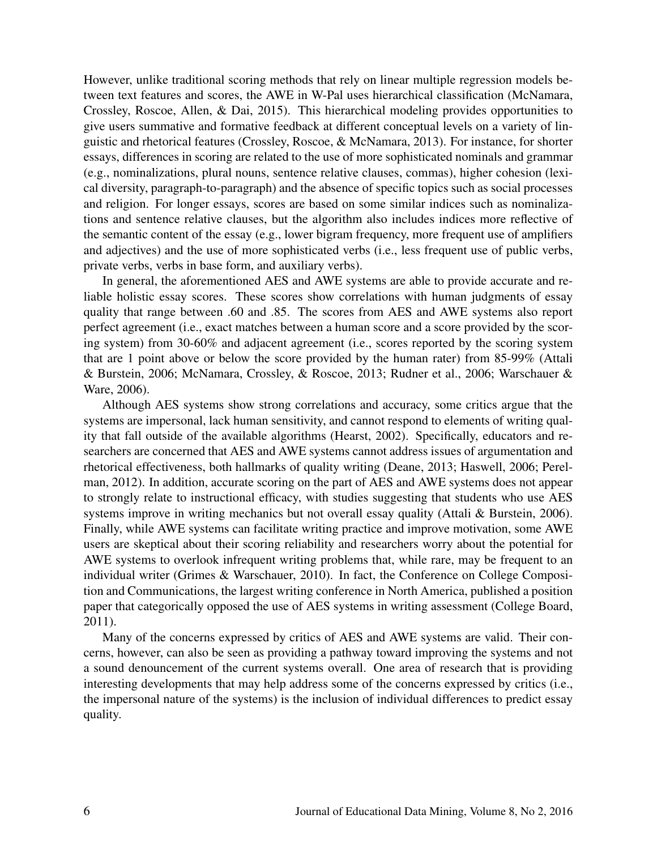However, unlike traditional scoring methods that rely on linear multiple regression models between text features and scores, the AWE in W-Pal uses hierarchical classification (McNamara, Crossley, Roscoe, Allen, & Dai, 2015). This hierarchical modeling provides opportunities to give users summative and formative feedback at different conceptual levels on a variety of linguistic and rhetorical features (Crossley, Roscoe, & McNamara, 2013). For instance, for shorter essays, differences in scoring are related to the use of more sophisticated nominals and grammar (e.g., nominalizations, plural nouns, sentence relative clauses, commas), higher cohesion (lexical diversity, paragraph-to-paragraph) and the absence of specific topics such as social processes and religion. For longer essays, scores are based on some similar indices such as nominalizations and sentence relative clauses, but the algorithm also includes indices more reflective of the semantic content of the essay (e.g., lower bigram frequency, more frequent use of amplifiers and adjectives) and the use of more sophisticated verbs (i.e., less frequent use of public verbs, private verbs, verbs in base form, and auxiliary verbs).

In general, the aforementioned AES and AWE systems are able to provide accurate and reliable holistic essay scores. These scores show correlations with human judgments of essay quality that range between .60 and .85. The scores from AES and AWE systems also report perfect agreement (i.e., exact matches between a human score and a score provided by the scoring system) from 30-60% and adjacent agreement (i.e., scores reported by the scoring system that are 1 point above or below the score provided by the human rater) from 85-99% (Attali & Burstein, 2006; McNamara, Crossley, & Roscoe, 2013; Rudner et al., 2006; Warschauer & Ware, 2006).

Although AES systems show strong correlations and accuracy, some critics argue that the systems are impersonal, lack human sensitivity, and cannot respond to elements of writing quality that fall outside of the available algorithms (Hearst, 2002). Specifically, educators and researchers are concerned that AES and AWE systems cannot address issues of argumentation and rhetorical effectiveness, both hallmarks of quality writing (Deane, 2013; Haswell, 2006; Perelman, 2012). In addition, accurate scoring on the part of AES and AWE systems does not appear to strongly relate to instructional efficacy, with studies suggesting that students who use AES systems improve in writing mechanics but not overall essay quality (Attali & Burstein, 2006). Finally, while AWE systems can facilitate writing practice and improve motivation, some AWE users are skeptical about their scoring reliability and researchers worry about the potential for AWE systems to overlook infrequent writing problems that, while rare, may be frequent to an individual writer (Grimes & Warschauer, 2010). In fact, the Conference on College Composition and Communications, the largest writing conference in North America, published a position paper that categorically opposed the use of AES systems in writing assessment (College Board, 2011).

Many of the concerns expressed by critics of AES and AWE systems are valid. Their concerns, however, can also be seen as providing a pathway toward improving the systems and not a sound denouncement of the current systems overall. One area of research that is providing interesting developments that may help address some of the concerns expressed by critics (i.e., the impersonal nature of the systems) is the inclusion of individual differences to predict essay quality.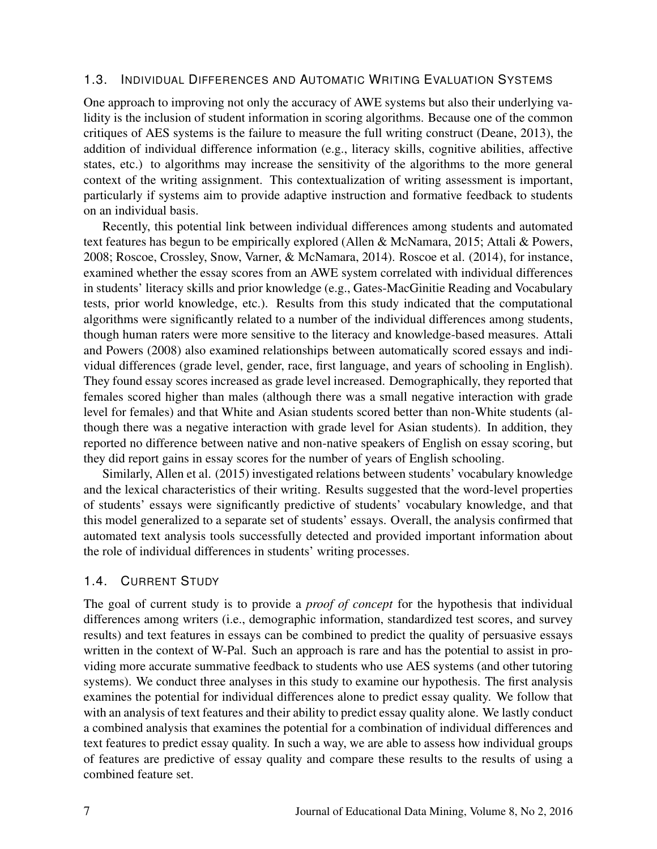#### 1.3. INDIVIDUAL DIFFERENCES AND AUTOMATIC WRITING EVALUATION SYSTEMS

One approach to improving not only the accuracy of AWE systems but also their underlying validity is the inclusion of student information in scoring algorithms. Because one of the common critiques of AES systems is the failure to measure the full writing construct (Deane, 2013), the addition of individual difference information (e.g., literacy skills, cognitive abilities, affective states, etc.) to algorithms may increase the sensitivity of the algorithms to the more general context of the writing assignment. This contextualization of writing assessment is important, particularly if systems aim to provide adaptive instruction and formative feedback to students on an individual basis.

Recently, this potential link between individual differences among students and automated text features has begun to be empirically explored (Allen & McNamara, 2015; Attali & Powers, 2008; Roscoe, Crossley, Snow, Varner, & McNamara, 2014). Roscoe et al. (2014), for instance, examined whether the essay scores from an AWE system correlated with individual differences in students' literacy skills and prior knowledge (e.g., Gates-MacGinitie Reading and Vocabulary tests, prior world knowledge, etc.). Results from this study indicated that the computational algorithms were significantly related to a number of the individual differences among students, though human raters were more sensitive to the literacy and knowledge-based measures. Attali and Powers (2008) also examined relationships between automatically scored essays and individual differences (grade level, gender, race, first language, and years of schooling in English). They found essay scores increased as grade level increased. Demographically, they reported that females scored higher than males (although there was a small negative interaction with grade level for females) and that White and Asian students scored better than non-White students (although there was a negative interaction with grade level for Asian students). In addition, they reported no difference between native and non-native speakers of English on essay scoring, but they did report gains in essay scores for the number of years of English schooling.

Similarly, Allen et al. (2015) investigated relations between students' vocabulary knowledge and the lexical characteristics of their writing. Results suggested that the word-level properties of students' essays were significantly predictive of students' vocabulary knowledge, and that this model generalized to a separate set of students' essays. Overall, the analysis confirmed that automated text analysis tools successfully detected and provided important information about the role of individual differences in students' writing processes.

#### 1.4. CURRENT STUDY

The goal of current study is to provide a *proof of concept* for the hypothesis that individual differences among writers (i.e., demographic information, standardized test scores, and survey results) and text features in essays can be combined to predict the quality of persuasive essays written in the context of W-Pal. Such an approach is rare and has the potential to assist in providing more accurate summative feedback to students who use AES systems (and other tutoring systems). We conduct three analyses in this study to examine our hypothesis. The first analysis examines the potential for individual differences alone to predict essay quality. We follow that with an analysis of text features and their ability to predict essay quality alone. We lastly conduct a combined analysis that examines the potential for a combination of individual differences and text features to predict essay quality. In such a way, we are able to assess how individual groups of features are predictive of essay quality and compare these results to the results of using a combined feature set.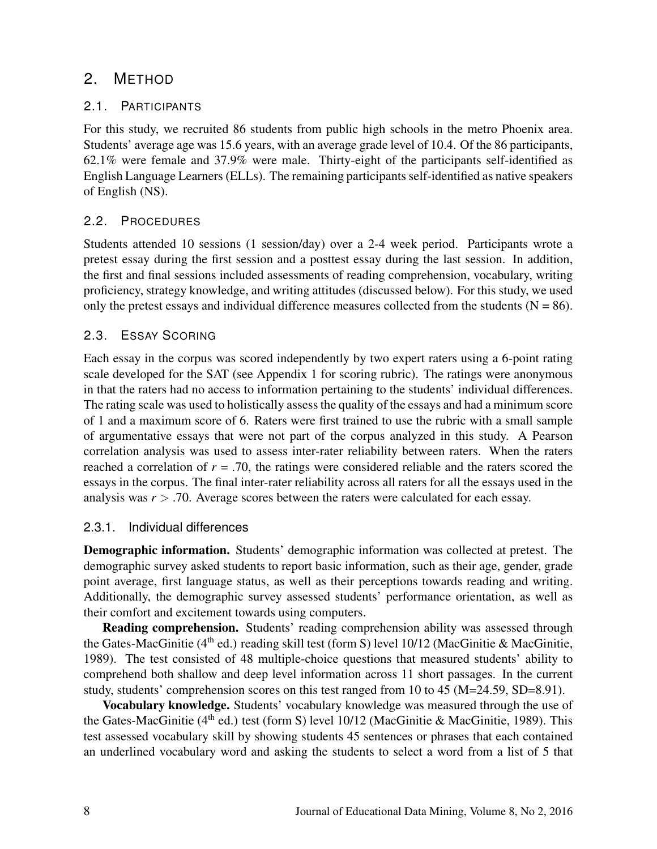# 2. METHOD

## 2.1. PARTICIPANTS

For this study, we recruited 86 students from public high schools in the metro Phoenix area. Students' average age was 15.6 years, with an average grade level of 10.4. Of the 86 participants, 62.1% were female and 37.9% were male. Thirty-eight of the participants self-identified as English Language Learners (ELLs). The remaining participants self-identified as native speakers of English (NS).

# 2.2. PROCEDURES

Students attended 10 sessions (1 session/day) over a 2-4 week period. Participants wrote a pretest essay during the first session and a posttest essay during the last session. In addition, the first and final sessions included assessments of reading comprehension, vocabulary, writing proficiency, strategy knowledge, and writing attitudes (discussed below). For this study, we used only the pretest essays and individual difference measures collected from the students ( $N = 86$ ).

# 2.3. ESSAY SCORING

Each essay in the corpus was scored independently by two expert raters using a 6-point rating scale developed for the SAT (see Appendix 1 for scoring rubric). The ratings were anonymous in that the raters had no access to information pertaining to the students' individual differences. The rating scale was used to holistically assess the quality of the essays and had a minimum score of 1 and a maximum score of 6. Raters were first trained to use the rubric with a small sample of argumentative essays that were not part of the corpus analyzed in this study. A Pearson correlation analysis was used to assess inter-rater reliability between raters. When the raters reached a correlation of  $r = 0.70$ , the ratings were considered reliable and the raters scored the essays in the corpus. The final inter-rater reliability across all raters for all the essays used in the analysis was *r* > .70. Average scores between the raters were calculated for each essay.

# 2.3.1. Individual differences

Demographic information. Students' demographic information was collected at pretest. The demographic survey asked students to report basic information, such as their age, gender, grade point average, first language status, as well as their perceptions towards reading and writing. Additionally, the demographic survey assessed students' performance orientation, as well as their comfort and excitement towards using computers.

**Reading comprehension.** Students' reading comprehension ability was assessed through the Gates-MacGinitie ( $4<sup>th</sup>$  ed.) reading skill test (form S) level 10/12 (MacGinitie & MacGinitie, 1989). The test consisted of 48 multiple-choice questions that measured students' ability to comprehend both shallow and deep level information across 11 short passages. In the current study, students' comprehension scores on this test ranged from 10 to 45 (M=24.59, SD=8.91).

Vocabulary knowledge. Students' vocabulary knowledge was measured through the use of the Gates-MacGinitie ( $4<sup>th</sup>$  ed.) test (form S) level 10/12 (MacGinitie & MacGinitie, 1989). This test assessed vocabulary skill by showing students 45 sentences or phrases that each contained an underlined vocabulary word and asking the students to select a word from a list of 5 that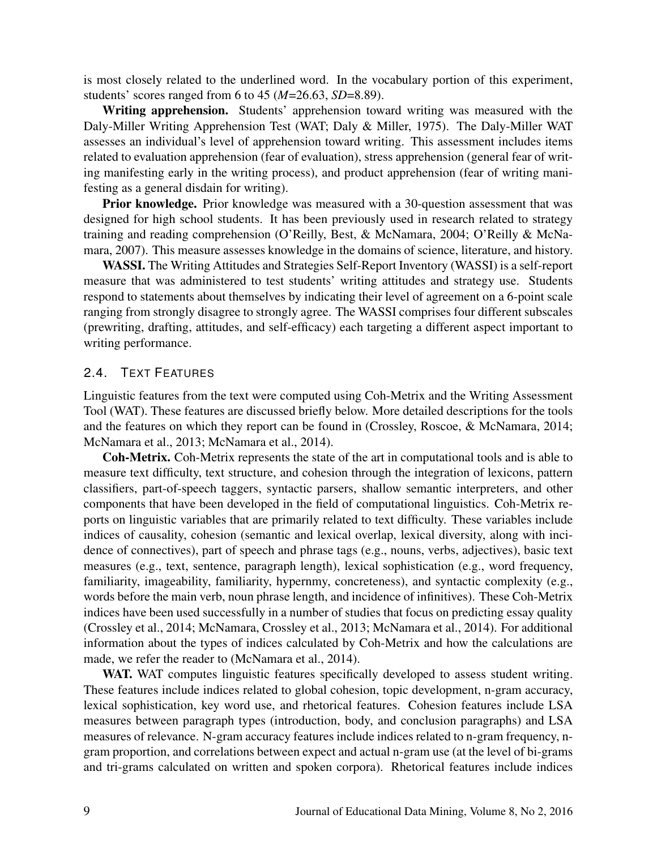is most closely related to the underlined word. In the vocabulary portion of this experiment, students' scores ranged from 6 to 45 (*M*=26.63, *SD*=8.89).

Writing apprehension. Students' apprehension toward writing was measured with the Daly-Miller Writing Apprehension Test (WAT; Daly & Miller, 1975). The Daly-Miller WAT assesses an individual's level of apprehension toward writing. This assessment includes items related to evaluation apprehension (fear of evaluation), stress apprehension (general fear of writing manifesting early in the writing process), and product apprehension (fear of writing manifesting as a general disdain for writing).

Prior knowledge. Prior knowledge was measured with a 30-question assessment that was designed for high school students. It has been previously used in research related to strategy training and reading comprehension (O'Reilly, Best, & McNamara, 2004; O'Reilly & McNamara, 2007). This measure assesses knowledge in the domains of science, literature, and history.

WASSI. The Writing Attitudes and Strategies Self-Report Inventory (WASSI) is a self-report measure that was administered to test students' writing attitudes and strategy use. Students respond to statements about themselves by indicating their level of agreement on a 6-point scale ranging from strongly disagree to strongly agree. The WASSI comprises four different subscales (prewriting, drafting, attitudes, and self-efficacy) each targeting a different aspect important to writing performance.

#### 2.4. TEXT FEATURES

Linguistic features from the text were computed using Coh-Metrix and the Writing Assessment Tool (WAT). These features are discussed briefly below. More detailed descriptions for the tools and the features on which they report can be found in (Crossley, Roscoe, & McNamara, 2014; McNamara et al., 2013; McNamara et al., 2014).

Coh-Metrix. Coh-Metrix represents the state of the art in computational tools and is able to measure text difficulty, text structure, and cohesion through the integration of lexicons, pattern classifiers, part-of-speech taggers, syntactic parsers, shallow semantic interpreters, and other components that have been developed in the field of computational linguistics. Coh-Metrix reports on linguistic variables that are primarily related to text difficulty. These variables include indices of causality, cohesion (semantic and lexical overlap, lexical diversity, along with incidence of connectives), part of speech and phrase tags (e.g., nouns, verbs, adjectives), basic text measures (e.g., text, sentence, paragraph length), lexical sophistication (e.g., word frequency, familiarity, imageability, familiarity, hypernmy, concreteness), and syntactic complexity (e.g., words before the main verb, noun phrase length, and incidence of infinitives). These Coh-Metrix indices have been used successfully in a number of studies that focus on predicting essay quality (Crossley et al., 2014; McNamara, Crossley et al., 2013; McNamara et al., 2014). For additional information about the types of indices calculated by Coh-Metrix and how the calculations are made, we refer the reader to (McNamara et al., 2014).

WAT. WAT computes linguistic features specifically developed to assess student writing. These features include indices related to global cohesion, topic development, n-gram accuracy, lexical sophistication, key word use, and rhetorical features. Cohesion features include LSA measures between paragraph types (introduction, body, and conclusion paragraphs) and LSA measures of relevance. N-gram accuracy features include indices related to n-gram frequency, ngram proportion, and correlations between expect and actual n-gram use (at the level of bi-grams and tri-grams calculated on written and spoken corpora). Rhetorical features include indices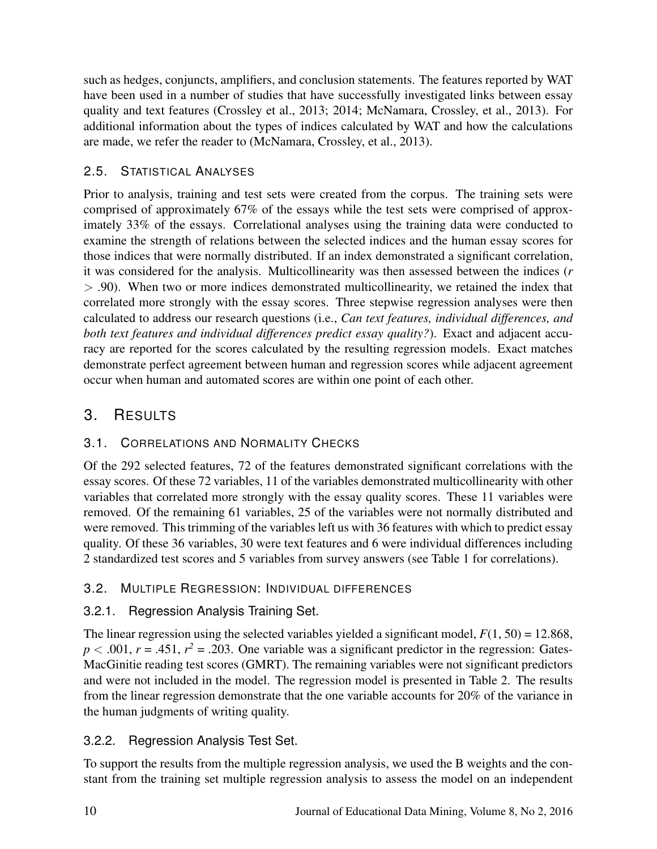such as hedges, conjuncts, amplifiers, and conclusion statements. The features reported by WAT have been used in a number of studies that have successfully investigated links between essay quality and text features (Crossley et al., 2013; 2014; McNamara, Crossley, et al., 2013). For additional information about the types of indices calculated by WAT and how the calculations are made, we refer the reader to (McNamara, Crossley, et al., 2013).

# 2.5. STATISTICAL ANALYSES

Prior to analysis, training and test sets were created from the corpus. The training sets were comprised of approximately 67% of the essays while the test sets were comprised of approximately 33% of the essays. Correlational analyses using the training data were conducted to examine the strength of relations between the selected indices and the human essay scores for those indices that were normally distributed. If an index demonstrated a significant correlation, it was considered for the analysis. Multicollinearity was then assessed between the indices (*r* > .90). When two or more indices demonstrated multicollinearity, we retained the index that correlated more strongly with the essay scores. Three stepwise regression analyses were then calculated to address our research questions (i.e., *Can text features, individual differences, and both text features and individual differences predict essay quality?*). Exact and adjacent accuracy are reported for the scores calculated by the resulting regression models. Exact matches demonstrate perfect agreement between human and regression scores while adjacent agreement occur when human and automated scores are within one point of each other.

# 3. RESULTS

# 3.1. CORRELATIONS AND NORMALITY CHECKS

Of the 292 selected features, 72 of the features demonstrated significant correlations with the essay scores. Of these 72 variables, 11 of the variables demonstrated multicollinearity with other variables that correlated more strongly with the essay quality scores. These 11 variables were removed. Of the remaining 61 variables, 25 of the variables were not normally distributed and were removed. This trimming of the variables left us with 36 features with which to predict essay quality. Of these 36 variables, 30 were text features and 6 were individual differences including 2 standardized test scores and 5 variables from survey answers (see Table 1 for correlations).

# 3.2. MULTIPLE REGRESSION: INDIVIDUAL DIFFERENCES

# 3.2.1. Regression Analysis Training Set.

The linear regression using the selected variables yielded a significant model,  $F(1, 50) = 12.868$ ,  $p < .001$ ,  $r = .451$ ,  $r<sup>2</sup> = .203$ . One variable was a significant predictor in the regression: Gates-MacGinitie reading test scores (GMRT). The remaining variables were not significant predictors and were not included in the model. The regression model is presented in Table 2. The results from the linear regression demonstrate that the one variable accounts for 20% of the variance in the human judgments of writing quality.

# 3.2.2. Regression Analysis Test Set.

To support the results from the multiple regression analysis, we used the B weights and the constant from the training set multiple regression analysis to assess the model on an independent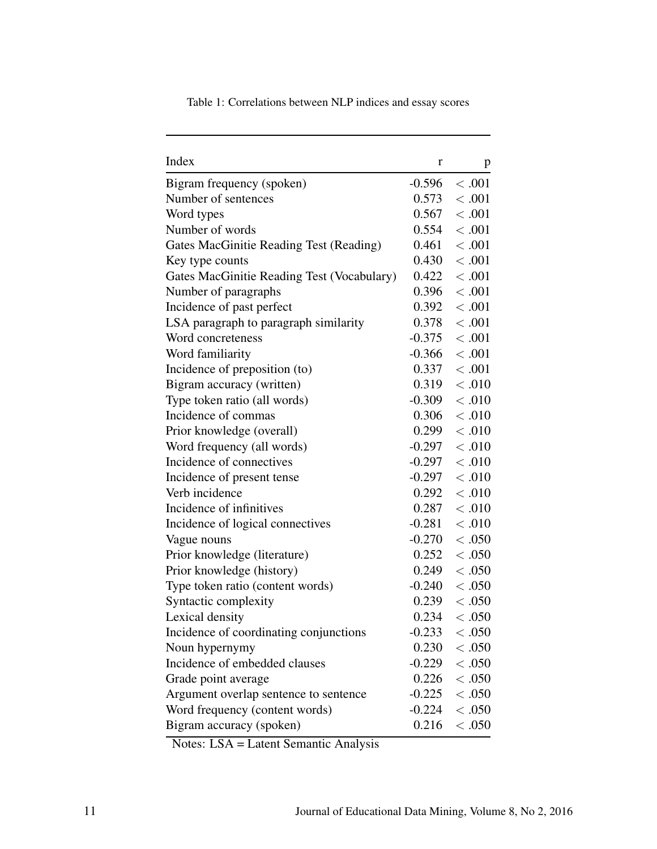| Index                                      | r        | p                    |
|--------------------------------------------|----------|----------------------|
| Bigram frequency (spoken)                  |          | $-0.596$ < .001      |
| Number of sentences                        | 0.573    | < 0.001              |
| Word types                                 |          | 0.567 < .001         |
| Number of words                            |          | 0.554 < .001         |
| Gates MacGinitie Reading Test (Reading)    |          | $0.461 \div .001$    |
| Key type counts                            |          | $0.430 \leq .001$    |
| Gates MacGinitie Reading Test (Vocabulary) | 0.422    | < 0.001              |
| Number of paragraphs                       |          | $0.396 \quad < .001$ |
| Incidence of past perfect                  |          | $0.392 \div .001$    |
| LSA paragraph to paragraph similarity      |          | 0.378 < .001         |
| Word concreteness                          |          | $-0.375$ < .001      |
| Word familiarity                           |          | $-0.366 \div 0.001$  |
| Incidence of preposition (to)              |          | $0.337 \div .001$    |
| Bigram accuracy (written)                  |          | $0.319 \quad < .010$ |
| Type token ratio (all words)               |          | $-0.309$ < .010      |
| Incidence of commas                        |          | $0.306$ < .010       |
| Prior knowledge (overall)                  |          | 0.299 < 0.010        |
| Word frequency (all words)                 |          | $-0.297$ < .010      |
| Incidence of connectives                   |          | $-0.297 < .010$      |
| Incidence of present tense                 |          | $-0.297 < .010$      |
| Verb incidence                             |          | $0.292 \div 0.010$   |
| Incidence of infinitives                   | 0.287    | < 0.010              |
| Incidence of logical connectives           |          | $-0.281 \leq .010$   |
| Vague nouns                                |          | $-0.270 \leq .050$   |
| Prior knowledge (literature)               |          | $0.252 \div 0.050$   |
| Prior knowledge (history)                  |          | $0.249 \leq .050$    |
| Type token ratio (content words)           |          | $-0.240 \leq .050$   |
| Syntactic complexity                       |          | $0.239 \div 0.050$   |
| Lexical density                            |          | $0.234 \div 0.050$   |
| Incidence of coordinating conjunctions     | $-0.233$ | < .050               |
| Noun hypernymy                             | 0.230    | < .050               |
| Incidence of embedded clauses              | $-0.229$ | < .050               |
| Grade point average                        | 0.226    | < .050               |
| Argument overlap sentence to sentence      | $-0.225$ | < .050               |
| Word frequency (content words)             | $-0.224$ | < .050               |
| Bigram accuracy (spoken)                   | 0.216    | < .050               |

Table 1: Correlations between NLP indices and essay scores

Notes: LSA = Latent Semantic Analysis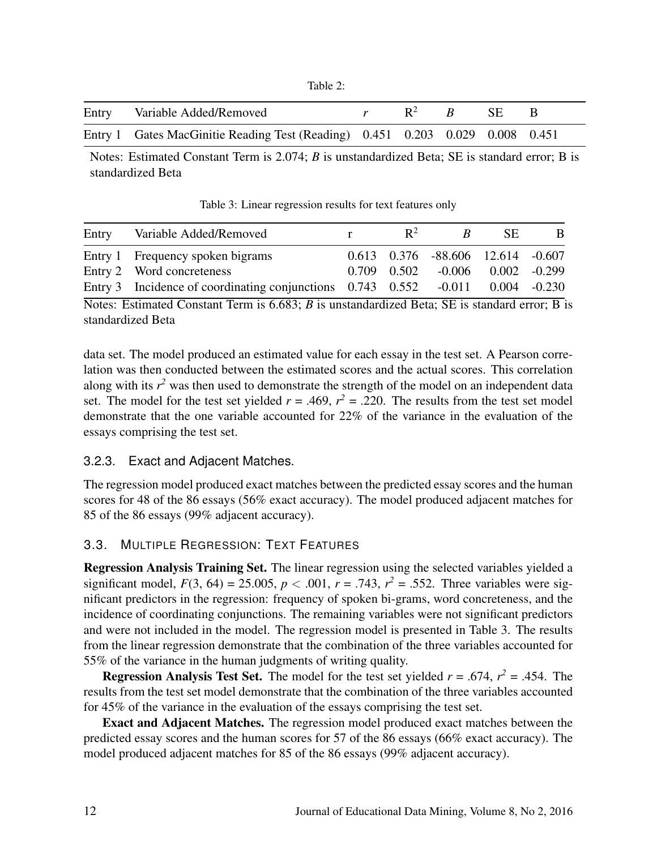| `able |  |
|-------|--|
|-------|--|

| Entry Variable Added/Removed                                                  | $R^2$ $R$ | - SE - |  |
|-------------------------------------------------------------------------------|-----------|--------|--|
| Entry 1 Gates MacGinitie Reading Test (Reading) 0.451 0.203 0.029 0.008 0.451 |           |        |  |

Notes: Estimated Constant Term is 2.074; *B* is unstandardized Beta; SE is standard error; B is standardized Beta

Table 3: Linear regression results for text features only

| Entry | Variable Added/Removed                                                               | $R^2$ | R.                                          | -SE | B. |
|-------|--------------------------------------------------------------------------------------|-------|---------------------------------------------|-----|----|
|       | Entry 1 Frequency spoken bigrams                                                     |       | $0.613$ $0.376$ $-88.606$ $12.614$ $-0.607$ |     |    |
|       | Entry 2 Word concreteness                                                            |       | $0.709$ $0.502$ $-0.006$ $0.002$ $-0.299$   |     |    |
|       | Entry 3 Incidence of coordinating conjunctions $0.743$ $0.552$ -0.011 $0.004$ -0.230 |       |                                             |     |    |

Notes: Estimated Constant Term is 6.683; *B* is unstandardized Beta; SE is standard error; B is standardized Beta

data set. The model produced an estimated value for each essay in the test set. A Pearson correlation was then conducted between the estimated scores and the actual scores. This correlation along with its  $r^2$  was then used to demonstrate the strength of the model on an independent data set. The model for the test set yielded  $r = .469$ ,  $r^2 = .220$ . The results from the test set model demonstrate that the one variable accounted for 22% of the variance in the evaluation of the essays comprising the test set.

#### 3.2.3. Exact and Adjacent Matches.

The regression model produced exact matches between the predicted essay scores and the human scores for 48 of the 86 essays (56% exact accuracy). The model produced adjacent matches for 85 of the 86 essays (99% adjacent accuracy).

# 3.3. MULTIPLE REGRESSION: TEXT FEATURES

Regression Analysis Training Set. The linear regression using the selected variables yielded a significant model,  $F(3, 64) = 25.005$ ,  $p < .001$ ,  $r = .743$ ,  $r^2 = .552$ . Three variables were significant predictors in the regression: frequency of spoken bi-grams, word concreteness, and the incidence of coordinating conjunctions. The remaining variables were not significant predictors and were not included in the model. The regression model is presented in Table 3. The results from the linear regression demonstrate that the combination of the three variables accounted for 55% of the variance in the human judgments of writing quality.

**Regression Analysis Test Set.** The model for the test set yielded  $r = .674$ ,  $r^2 = .454$ . The results from the test set model demonstrate that the combination of the three variables accounted for 45% of the variance in the evaluation of the essays comprising the test set.

Exact and Adjacent Matches. The regression model produced exact matches between the predicted essay scores and the human scores for 57 of the 86 essays (66% exact accuracy). The model produced adjacent matches for 85 of the 86 essays (99% adjacent accuracy).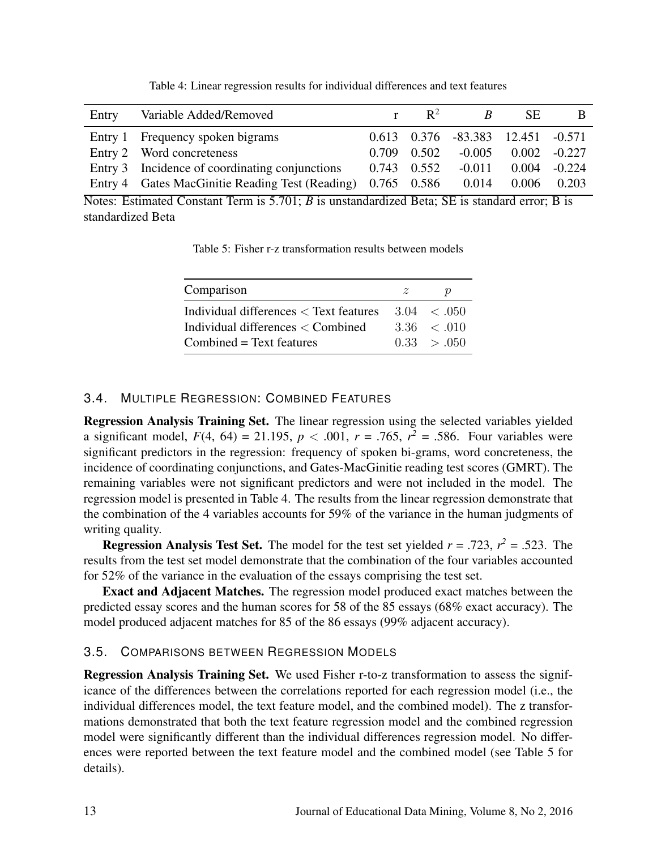| Entry | Variable Added/Removed                                      | $\mathbb{R}^2$  | R                                 | <b>SE</b> | <sub>B</sub>    |
|-------|-------------------------------------------------------------|-----------------|-----------------------------------|-----------|-----------------|
|       | Entry 1 Frequency spoken bigrams                            |                 | 0.613 0.376 -83.383 12.451 -0.571 |           |                 |
|       | Entry 2 Word concreteness                                   | $0.709$ $0.502$ | $-0.005$                          |           | $0.002 - 0.227$ |
|       | Entry 3 Incidence of coordinating conjunctions              | $0.743$ $0.552$ | $-0.011$                          |           | $0.004 - 0.224$ |
|       | Entry 4 Gates MacGinitie Reading Test (Reading) 0.765 0.586 |                 | 0.014                             | 0.006     | 0.203           |

Table 4: Linear regression results for individual differences and text features

Notes: Estimated Constant Term is 5.701; *B* is unstandardized Beta; SE is standard error; B is standardized Beta

Table 5: Fisher r-z transformation results between models

| Comparison                                     | z | 'N                      |
|------------------------------------------------|---|-------------------------|
| Individual differences $\langle$ Text features |   | $3.04 \leq .050$        |
| Individual differences $\langle$ Combined      |   | $3.36 \div 010$         |
| $Combined = Text features$                     |   | $0.33 \rightarrow 0.50$ |

#### 3.4. MULTIPLE REGRESSION: COMBINED FEATURES

Regression Analysis Training Set. The linear regression using the selected variables yielded a significant model,  $F(4, 64) = 21.195$ ,  $p < .001$ ,  $r = .765$ ,  $r^2 = .586$ . Four variables were significant predictors in the regression: frequency of spoken bi-grams, word concreteness, the incidence of coordinating conjunctions, and Gates-MacGinitie reading test scores (GMRT). The remaining variables were not significant predictors and were not included in the model. The regression model is presented in Table 4. The results from the linear regression demonstrate that the combination of the 4 variables accounts for 59% of the variance in the human judgments of writing quality.

**Regression Analysis Test Set.** The model for the test set yielded  $r = .723$ ,  $r^2 = .523$ . The results from the test set model demonstrate that the combination of the four variables accounted for 52% of the variance in the evaluation of the essays comprising the test set.

Exact and Adjacent Matches. The regression model produced exact matches between the predicted essay scores and the human scores for 58 of the 85 essays (68% exact accuracy). The model produced adjacent matches for 85 of the 86 essays (99% adjacent accuracy).

#### 3.5. COMPARISONS BETWEEN REGRESSION MODELS

Regression Analysis Training Set. We used Fisher r-to-z transformation to assess the significance of the differences between the correlations reported for each regression model (i.e., the individual differences model, the text feature model, and the combined model). The z transformations demonstrated that both the text feature regression model and the combined regression model were significantly different than the individual differences regression model. No differences were reported between the text feature model and the combined model (see Table 5 for details).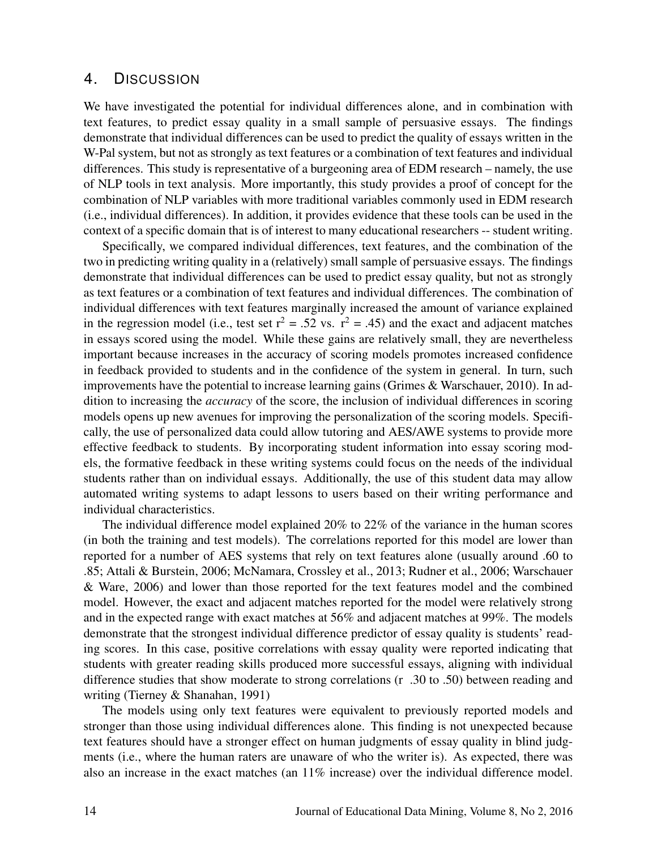## 4. DISCUSSION

We have investigated the potential for individual differences alone, and in combination with text features, to predict essay quality in a small sample of persuasive essays. The findings demonstrate that individual differences can be used to predict the quality of essays written in the W-Pal system, but not as strongly as text features or a combination of text features and individual differences. This study is representative of a burgeoning area of EDM research – namely, the use of NLP tools in text analysis. More importantly, this study provides a proof of concept for the combination of NLP variables with more traditional variables commonly used in EDM research (i.e., individual differences). In addition, it provides evidence that these tools can be used in the context of a specific domain that is of interest to many educational researchers -- student writing.

Specifically, we compared individual differences, text features, and the combination of the two in predicting writing quality in a (relatively) small sample of persuasive essays. The findings demonstrate that individual differences can be used to predict essay quality, but not as strongly as text features or a combination of text features and individual differences. The combination of individual differences with text features marginally increased the amount of variance explained in the regression model (i.e., test set  $r^2 = .52$  vs.  $r^2 = .45$ ) and the exact and adjacent matches in essays scored using the model. While these gains are relatively small, they are nevertheless important because increases in the accuracy of scoring models promotes increased confidence in feedback provided to students and in the confidence of the system in general. In turn, such improvements have the potential to increase learning gains (Grimes & Warschauer, 2010). In addition to increasing the *accuracy* of the score, the inclusion of individual differences in scoring models opens up new avenues for improving the personalization of the scoring models. Specifically, the use of personalized data could allow tutoring and AES/AWE systems to provide more effective feedback to students. By incorporating student information into essay scoring models, the formative feedback in these writing systems could focus on the needs of the individual students rather than on individual essays. Additionally, the use of this student data may allow automated writing systems to adapt lessons to users based on their writing performance and individual characteristics.

The individual difference model explained 20% to 22% of the variance in the human scores (in both the training and test models). The correlations reported for this model are lower than reported for a number of AES systems that rely on text features alone (usually around .60 to .85; Attali & Burstein, 2006; McNamara, Crossley et al., 2013; Rudner et al., 2006; Warschauer & Ware, 2006) and lower than those reported for the text features model and the combined model. However, the exact and adjacent matches reported for the model were relatively strong and in the expected range with exact matches at 56% and adjacent matches at 99%. The models demonstrate that the strongest individual difference predictor of essay quality is students' reading scores. In this case, positive correlations with essay quality were reported indicating that students with greater reading skills produced more successful essays, aligning with individual difference studies that show moderate to strong correlations (r .30 to .50) between reading and writing (Tierney & Shanahan, 1991)

The models using only text features were equivalent to previously reported models and stronger than those using individual differences alone. This finding is not unexpected because text features should have a stronger effect on human judgments of essay quality in blind judgments (i.e., where the human raters are unaware of who the writer is). As expected, there was also an increase in the exact matches (an 11% increase) over the individual difference model.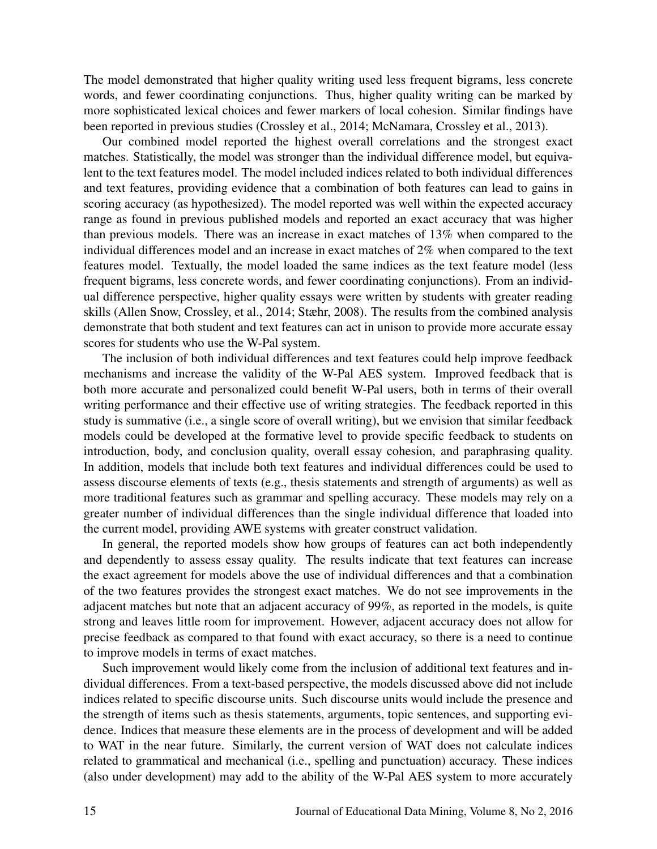The model demonstrated that higher quality writing used less frequent bigrams, less concrete words, and fewer coordinating conjunctions. Thus, higher quality writing can be marked by more sophisticated lexical choices and fewer markers of local cohesion. Similar findings have been reported in previous studies (Crossley et al., 2014; McNamara, Crossley et al., 2013).

Our combined model reported the highest overall correlations and the strongest exact matches. Statistically, the model was stronger than the individual difference model, but equivalent to the text features model. The model included indices related to both individual differences and text features, providing evidence that a combination of both features can lead to gains in scoring accuracy (as hypothesized). The model reported was well within the expected accuracy range as found in previous published models and reported an exact accuracy that was higher than previous models. There was an increase in exact matches of 13% when compared to the individual differences model and an increase in exact matches of 2% when compared to the text features model. Textually, the model loaded the same indices as the text feature model (less frequent bigrams, less concrete words, and fewer coordinating conjunctions). From an individual difference perspective, higher quality essays were written by students with greater reading skills (Allen Snow, Crossley, et al., 2014; Stæhr, 2008). The results from the combined analysis demonstrate that both student and text features can act in unison to provide more accurate essay scores for students who use the W-Pal system.

The inclusion of both individual differences and text features could help improve feedback mechanisms and increase the validity of the W-Pal AES system. Improved feedback that is both more accurate and personalized could benefit W-Pal users, both in terms of their overall writing performance and their effective use of writing strategies. The feedback reported in this study is summative (i.e., a single score of overall writing), but we envision that similar feedback models could be developed at the formative level to provide specific feedback to students on introduction, body, and conclusion quality, overall essay cohesion, and paraphrasing quality. In addition, models that include both text features and individual differences could be used to assess discourse elements of texts (e.g., thesis statements and strength of arguments) as well as more traditional features such as grammar and spelling accuracy. These models may rely on a greater number of individual differences than the single individual difference that loaded into the current model, providing AWE systems with greater construct validation.

In general, the reported models show how groups of features can act both independently and dependently to assess essay quality. The results indicate that text features can increase the exact agreement for models above the use of individual differences and that a combination of the two features provides the strongest exact matches. We do not see improvements in the adjacent matches but note that an adjacent accuracy of 99%, as reported in the models, is quite strong and leaves little room for improvement. However, adjacent accuracy does not allow for precise feedback as compared to that found with exact accuracy, so there is a need to continue to improve models in terms of exact matches.

Such improvement would likely come from the inclusion of additional text features and individual differences. From a text-based perspective, the models discussed above did not include indices related to specific discourse units. Such discourse units would include the presence and the strength of items such as thesis statements, arguments, topic sentences, and supporting evidence. Indices that measure these elements are in the process of development and will be added to WAT in the near future. Similarly, the current version of WAT does not calculate indices related to grammatical and mechanical (i.e., spelling and punctuation) accuracy. These indices (also under development) may add to the ability of the W-Pal AES system to more accurately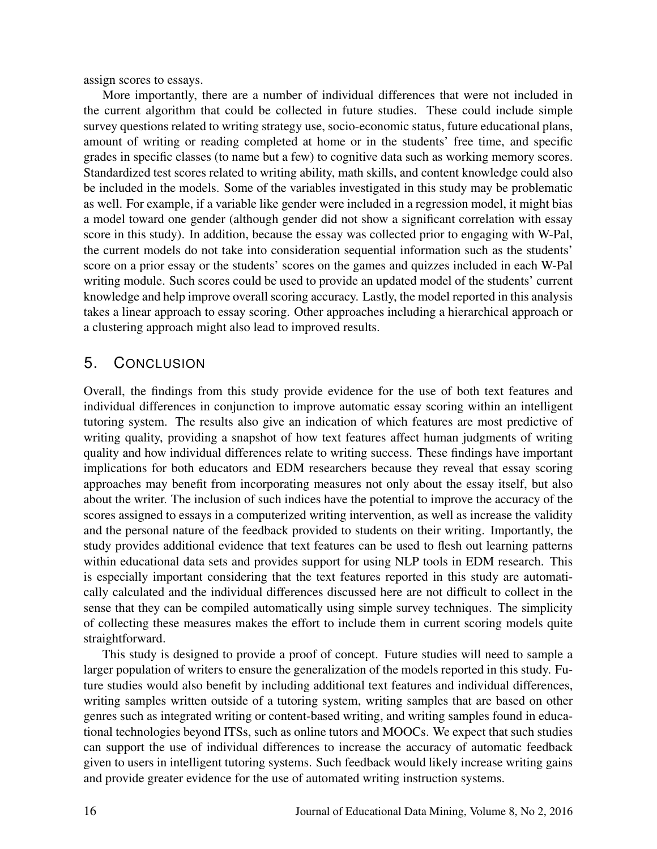assign scores to essays.

More importantly, there are a number of individual differences that were not included in the current algorithm that could be collected in future studies. These could include simple survey questions related to writing strategy use, socio-economic status, future educational plans, amount of writing or reading completed at home or in the students' free time, and specific grades in specific classes (to name but a few) to cognitive data such as working memory scores. Standardized test scores related to writing ability, math skills, and content knowledge could also be included in the models. Some of the variables investigated in this study may be problematic as well. For example, if a variable like gender were included in a regression model, it might bias a model toward one gender (although gender did not show a significant correlation with essay score in this study). In addition, because the essay was collected prior to engaging with W-Pal, the current models do not take into consideration sequential information such as the students' score on a prior essay or the students' scores on the games and quizzes included in each W-Pal writing module. Such scores could be used to provide an updated model of the students' current knowledge and help improve overall scoring accuracy. Lastly, the model reported in this analysis takes a linear approach to essay scoring. Other approaches including a hierarchical approach or a clustering approach might also lead to improved results.

# 5. CONCLUSION

Overall, the findings from this study provide evidence for the use of both text features and individual differences in conjunction to improve automatic essay scoring within an intelligent tutoring system. The results also give an indication of which features are most predictive of writing quality, providing a snapshot of how text features affect human judgments of writing quality and how individual differences relate to writing success. These findings have important implications for both educators and EDM researchers because they reveal that essay scoring approaches may benefit from incorporating measures not only about the essay itself, but also about the writer. The inclusion of such indices have the potential to improve the accuracy of the scores assigned to essays in a computerized writing intervention, as well as increase the validity and the personal nature of the feedback provided to students on their writing. Importantly, the study provides additional evidence that text features can be used to flesh out learning patterns within educational data sets and provides support for using NLP tools in EDM research. This is especially important considering that the text features reported in this study are automatically calculated and the individual differences discussed here are not difficult to collect in the sense that they can be compiled automatically using simple survey techniques. The simplicity of collecting these measures makes the effort to include them in current scoring models quite straightforward.

This study is designed to provide a proof of concept. Future studies will need to sample a larger population of writers to ensure the generalization of the models reported in this study. Future studies would also benefit by including additional text features and individual differences, writing samples written outside of a tutoring system, writing samples that are based on other genres such as integrated writing or content-based writing, and writing samples found in educational technologies beyond ITSs, such as online tutors and MOOCs. We expect that such studies can support the use of individual differences to increase the accuracy of automatic feedback given to users in intelligent tutoring systems. Such feedback would likely increase writing gains and provide greater evidence for the use of automated writing instruction systems.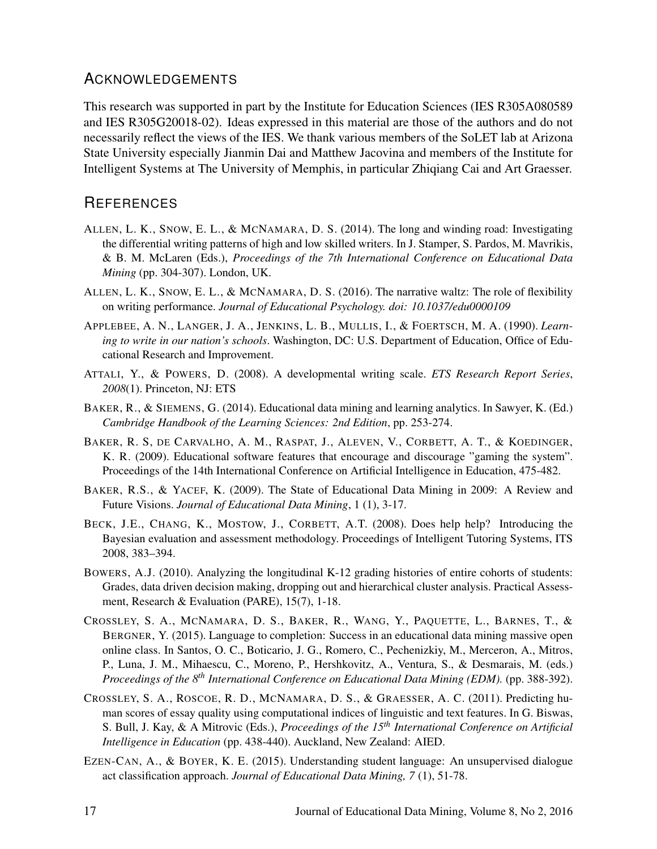# ACKNOWLEDGEMENTS

This research was supported in part by the Institute for Education Sciences (IES R305A080589 and IES R305G20018-02). Ideas expressed in this material are those of the authors and do not necessarily reflect the views of the IES. We thank various members of the SoLET lab at Arizona State University especially Jianmin Dai and Matthew Jacovina and members of the Institute for Intelligent Systems at The University of Memphis, in particular Zhiqiang Cai and Art Graesser.

# **REFERENCES**

- ALLEN, L. K., SNOW, E. L., & MCNAMARA, D. S. (2014). The long and winding road: Investigating the differential writing patterns of high and low skilled writers. In J. Stamper, S. Pardos, M. Mavrikis, & B. M. McLaren (Eds.), *Proceedings of the 7th International Conference on Educational Data Mining* (pp. 304-307). London, UK.
- ALLEN, L. K., SNOW, E. L., & MCNAMARA, D. S. (2016). The narrative waltz: The role of flexibility on writing performance. *Journal of Educational Psychology. doi: 10.1037/edu0000109*
- APPLEBEE, A. N., LANGER, J. A., JENKINS, L. B., MULLIS, I., & FOERTSCH, M. A. (1990). *Learning to write in our nation's schools*. Washington, DC: U.S. Department of Education, Office of Educational Research and Improvement.
- ATTALI, Y., & POWERS, D. (2008). A developmental writing scale. *ETS Research Report Series*, *2008*(1). Princeton, NJ: ETS
- BAKER, R., & SIEMENS, G. (2014). Educational data mining and learning analytics. In Sawyer, K. (Ed.) *Cambridge Handbook of the Learning Sciences: 2nd Edition*, pp. 253-274.
- BAKER, R. S, DE CARVALHO, A. M., RASPAT, J., ALEVEN, V., CORBETT, A. T., & KOEDINGER, K. R. (2009). Educational software features that encourage and discourage "gaming the system". Proceedings of the 14th International Conference on Artificial Intelligence in Education, 475-482.
- BAKER, R.S., & YACEF, K. (2009). The State of Educational Data Mining in 2009: A Review and Future Visions. *Journal of Educational Data Mining*, 1 (1), 3-17.
- BECK, J.E., CHANG, K., MOSTOW, J., CORBETT, A.T. (2008). Does help help? Introducing the Bayesian evaluation and assessment methodology. Proceedings of Intelligent Tutoring Systems, ITS 2008, 383–394.
- BOWERS, A.J. (2010). Analyzing the longitudinal K-12 grading histories of entire cohorts of students: Grades, data driven decision making, dropping out and hierarchical cluster analysis. Practical Assessment, Research & Evaluation (PARE), 15(7), 1-18.
- CROSSLEY, S. A., MCNAMARA, D. S., BAKER, R., WANG, Y., PAQUETTE, L., BARNES, T., & BERGNER, Y. (2015). Language to completion: Success in an educational data mining massive open online class. In Santos, O. C., Boticario, J. G., Romero, C., Pechenizkiy, M., Merceron, A., Mitros, P., Luna, J. M., Mihaescu, C., Moreno, P., Hershkovitz, A., Ventura, S., & Desmarais, M. (eds.) *Proceedings of the 8th International Conference on Educational Data Mining (EDM).* (pp. 388-392).
- CROSSLEY, S. A., ROSCOE, R. D., MCNAMARA, D. S., & GRAESSER, A. C. (2011). Predicting human scores of essay quality using computational indices of linguistic and text features. In G. Biswas, S. Bull, J. Kay, & A Mitrovic (Eds.), *Proceedings of the 15th International Conference on Artificial Intelligence in Education* (pp. 438-440). Auckland, New Zealand: AIED.
- EZEN-CAN, A., & BOYER, K. E. (2015). Understanding student language: An unsupervised dialogue act classification approach. *Journal of Educational Data Mining, 7* (1), 51-78.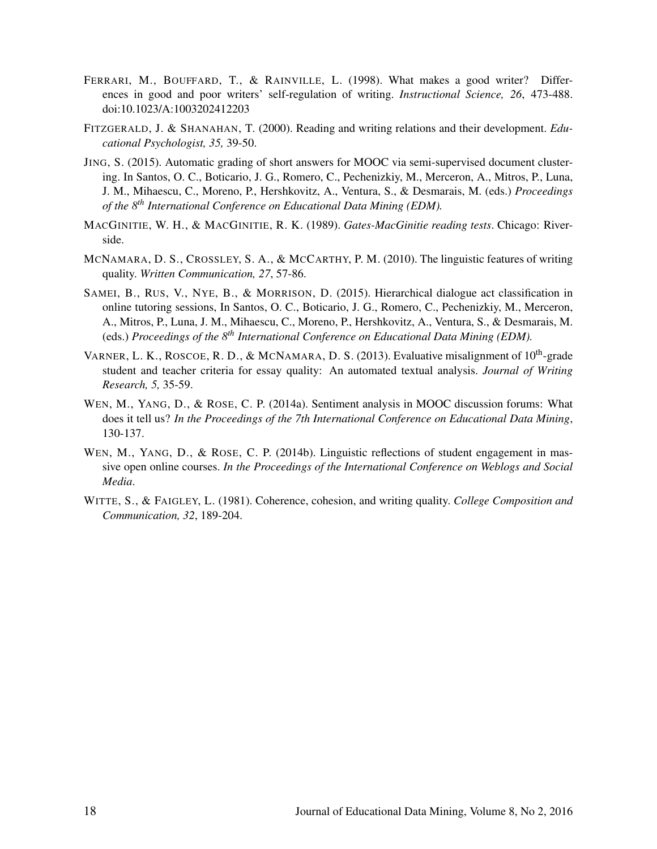- FERRARI, M., BOUFFARD, T., & RAINVILLE, L. (1998). What makes a good writer? Differences in good and poor writers' self-regulation of writing. *Instructional Science, 26*, 473-488. doi:10.1023/A:1003202412203
- FITZGERALD, J. & SHANAHAN, T. (2000). Reading and writing relations and their development. *Educational Psychologist, 35,* 39-50.
- JING, S. (2015). Automatic grading of short answers for MOOC via semi-supervised document clustering. In Santos, O. C., Boticario, J. G., Romero, C., Pechenizkiy, M., Merceron, A., Mitros, P., Luna, J. M., Mihaescu, C., Moreno, P., Hershkovitz, A., Ventura, S., & Desmarais, M. (eds.) *Proceedings of the 8th International Conference on Educational Data Mining (EDM).*
- MACGINITIE, W. H., & MACGINITIE, R. K. (1989). *Gates-MacGinitie reading tests*. Chicago: Riverside.
- MCNAMARA, D. S., CROSSLEY, S. A., & MCCARTHY, P. M. (2010). The linguistic features of writing quality. *Written Communication, 27*, 57-86.
- SAMEI, B., RUS, V., NYE, B., & MORRISON, D. (2015). Hierarchical dialogue act classification in online tutoring sessions, In Santos, O. C., Boticario, J. G., Romero, C., Pechenizkiy, M., Merceron, A., Mitros, P., Luna, J. M., Mihaescu, C., Moreno, P., Hershkovitz, A., Ventura, S., & Desmarais, M. (eds.) *Proceedings of the 8th International Conference on Educational Data Mining (EDM).*
- VARNER, L. K., ROSCOE, R. D., & MCNAMARA, D. S. (2013). Evaluative misalignment of 10<sup>th</sup>-grade student and teacher criteria for essay quality: An automated textual analysis. *Journal of Writing Research, 5,* 35-59.
- WEN, M., YANG, D., & ROSE, C. P. (2014a). Sentiment analysis in MOOC discussion forums: What does it tell us? *In the Proceedings of the 7th International Conference on Educational Data Mining*, 130-137.
- WEN, M., YANG, D., & ROSE, C. P. (2014b). Linguistic reflections of student engagement in massive open online courses. *In the Proceedings of the International Conference on Weblogs and Social Media*.
- WITTE, S., & FAIGLEY, L. (1981). Coherence, cohesion, and writing quality. *College Composition and Communication, 32*, 189-204.